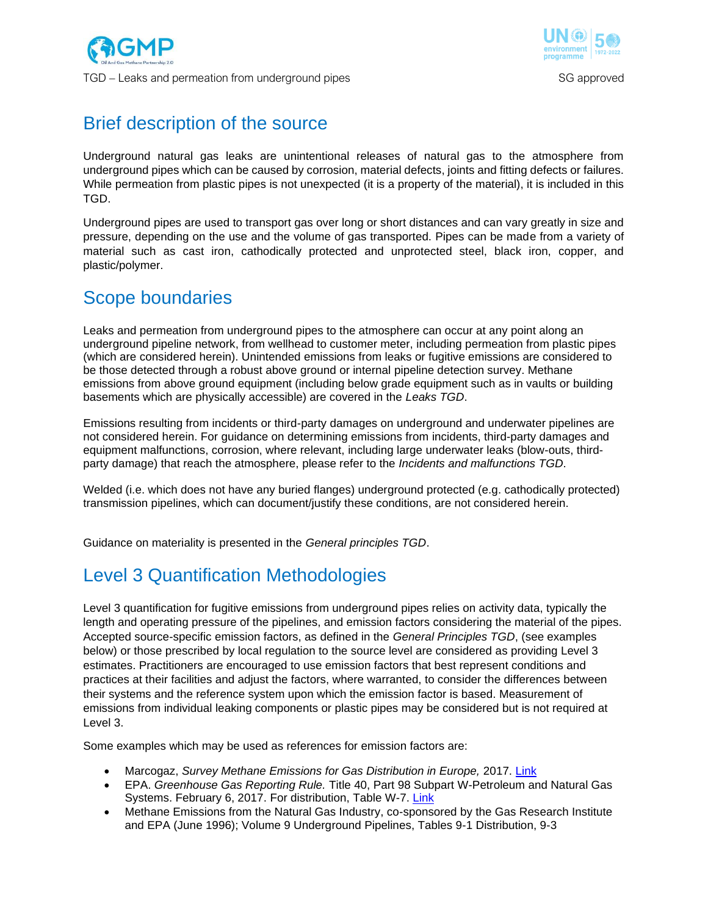



# Brief description of the source

Underground natural gas leaks are unintentional releases of natural gas to the atmosphere from underground pipes which can be caused by corrosion, material defects, joints and fitting defects or failures. While permeation from plastic pipes is not unexpected (it is a property of the material), it is included in this TGD.

Underground pipes are used to transport gas over long or short distances and can vary greatly in size and pressure, depending on the use and the volume of gas transported. Pipes can be made from a variety of material such as cast iron, cathodically protected and unprotected steel, black iron, copper, and plastic/polymer.

### Scope boundaries

Leaks and permeation from underground pipes to the atmosphere can occur at any point along an underground pipeline network, from wellhead to customer meter, including permeation from plastic pipes (which are considered herein). Unintended emissions from leaks or fugitive emissions are considered to be those detected through a robust above ground or internal pipeline detection survey. Methane emissions from above ground equipment (including below grade equipment such as in vaults or building basements which are physically accessible) are covered in the *Leaks TGD*.

Emissions resulting from incidents or third-party damages on underground and underwater pipelines are not considered herein. For guidance on determining emissions from incidents, third-party damages and equipment malfunctions, corrosion, where relevant, including large underwater leaks (blow-outs, thirdparty damage) that reach the atmosphere, please refer to the *Incidents and malfunctions TGD*.

Welded (i.e. which does not have any buried flanges) underground protected (e.g. cathodically protected) transmission pipelines, which can document/justify these conditions, are not considered herein.

Guidance on materiality is presented in the *General principles TGD*.

## Level 3 Quantification Methodologies

Level 3 quantification for fugitive emissions from underground pipes relies on activity data, typically the length and operating pressure of the pipelines, and emission factors considering the material of the pipes. Accepted source-specific emission factors, as defined in the *General Principles TGD*, (see examples below) or those prescribed by local regulation to the source level are considered as providing Level 3 estimates. Practitioners are encouraged to use emission factors that best represent conditions and practices at their facilities and adjust the factors, where warranted, to consider the differences between their systems and the reference system upon which the emission factor is based. Measurement of emissions from individual leaking components or plastic pipes may be considered but is not required at Level 3.

Some examples which may be used as references for emission factors are:

- Marcogaz, *Survey Methane Emissions for Gas Distribution in Europe,* 2017. [Link](https://s23fe8dea6eea43c5.jimcontent.com/download/version/1602849057/module/7926774363/name/WG-ME-17-25.pdf)
- EPA. *Greenhouse Gas Reporting Rule.* Title 40, Part 98 Subpart W-Petroleum and Natural Gas Systems. February 6, 2017. For distribution, Table W-7. [Link](http://www.ecfr.gov/cgi-bin/text-idx?SID=777564a9f8d1264edbfc1c55a7a989ba&mc=true&node=sp40.23.98.w&rgn=div6)
- Methane Emissions from the Natural Gas Industry, co-sponsored by the Gas Research Institute and EPA (June 1996); Volume 9 Underground Pipelines, Tables 9-1 Distribution, 9-3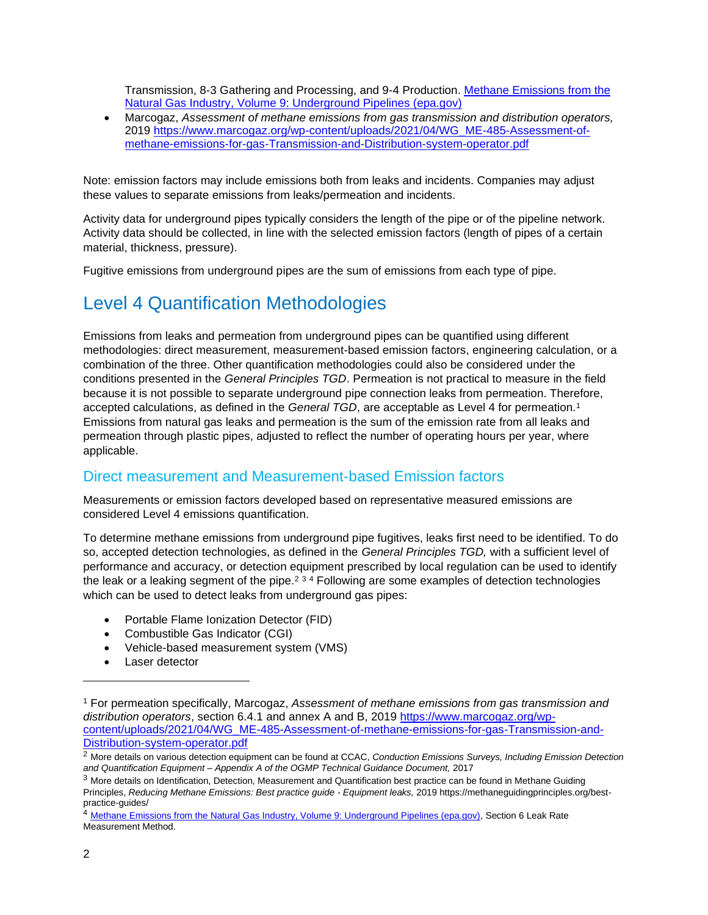Transmission, 8-3 Gathering and Processing, and 9-4 Production. [Methane Emissions from the](https://www.epa.gov/sites/default/files/2016-08/documents/9_underground.pdf)  [Natural Gas Industry, Volume 9: Underground Pipelines \(epa.gov\)](https://www.epa.gov/sites/default/files/2016-08/documents/9_underground.pdf)

• Marcogaz, *Assessment of methane emissions from gas transmission and distribution operators,* 2019 [https://www.marcogaz.org/wp-content/uploads/2021/04/WG\\_ME-485-Assessment-of](https://www.marcogaz.org/wp-content/uploads/2021/04/WG_ME-485-Assessment-of-methane-emissions-for-gas-Transmission-and-Distribution-system-operator.pdf)[methane-emissions-for-gas-Transmission-and-Distribution-system-operator.pdf](https://www.marcogaz.org/wp-content/uploads/2021/04/WG_ME-485-Assessment-of-methane-emissions-for-gas-Transmission-and-Distribution-system-operator.pdf)

Note: emission factors may include emissions both from leaks and incidents. Companies may adjust these values to separate emissions from leaks/permeation and incidents.

Activity data for underground pipes typically considers the length of the pipe or of the pipeline network. Activity data should be collected, in line with the selected emission factors (length of pipes of a certain material, thickness, pressure).

Fugitive emissions from underground pipes are the sum of emissions from each type of pipe.

## Level 4 Quantification Methodologies

Emissions from leaks and permeation from underground pipes can be quantified using different methodologies: direct measurement, measurement-based emission factors, engineering calculation, or a combination of the three. Other quantification methodologies could also be considered under the conditions presented in the *General Principles TGD*. Permeation is not practical to measure in the field because it is not possible to separate underground pipe connection leaks from permeation. Therefore, accepted calculations, as defined in the *General TGD*, are acceptable as Level 4 for permeation.<sup>1</sup> Emissions from natural gas leaks and permeation is the sum of the emission rate from all leaks and permeation through plastic pipes, adjusted to reflect the number of operating hours per year, where applicable.

### Direct measurement and Measurement-based Emission factors

Measurements or emission factors developed based on representative measured emissions are considered Level 4 emissions quantification.

To determine methane emissions from underground pipe fugitives, leaks first need to be identified. To do so, accepted detection technologies, as defined in the *General Principles TGD,* with a sufficient level of performance and accuracy, or detection equipment prescribed by local regulation can be used to identify the leak or a leaking segment of the pipe.<sup>2 3 4</sup> Following are some examples of detection technologies which can be used to detect leaks from underground gas pipes:

- Portable Flame Ionization Detector (FID)
- Combustible Gas Indicator (CGI)
- Vehicle-based measurement system (VMS)
- Laser detector

<sup>1</sup> For permeation specifically, Marcogaz, *Assessment of methane emissions from gas transmission and distribution operators*, section 6.4.1 and annex A and B, 2019 [https://www.marcogaz.org/wp](https://www.marcogaz.org/wp-content/uploads/2021/04/WG_ME-485-Assessment-of-methane-emissions-for-gas-Transmission-and-Distribution-system-operator.pdf)[content/uploads/2021/04/WG\\_ME-485-Assessment-of-methane-emissions-for-gas-Transmission-and-](https://www.marcogaz.org/wp-content/uploads/2021/04/WG_ME-485-Assessment-of-methane-emissions-for-gas-Transmission-and-Distribution-system-operator.pdf)[Distribution-system-operator.pdf](https://www.marcogaz.org/wp-content/uploads/2021/04/WG_ME-485-Assessment-of-methane-emissions-for-gas-Transmission-and-Distribution-system-operator.pdf)

<sup>2</sup> More details on various detection equipment can be found at CCAC, *Conduction Emissions Surveys, Including Emission Detection and Quantification Equipment – Appendix A of the OGMP Technical Guidance Document,* 2017

<sup>&</sup>lt;sup>3</sup> More details on Identification, Detection, Measurement and Quantification best practice can be found in Methane Guiding Principles, *Reducing Methane Emissions: Best practice guide - Equipment leaks,* 2019 https://methaneguidingprinciples.org/bestpractice-guides/

<sup>4</sup> [Methane Emissions from the Natural Gas Industry, Volume 9: Underground Pipelines \(epa.gov\),](https://www.epa.gov/sites/default/files/2016-08/documents/9_underground.pdf) Section 6 Leak Rate Measurement Method.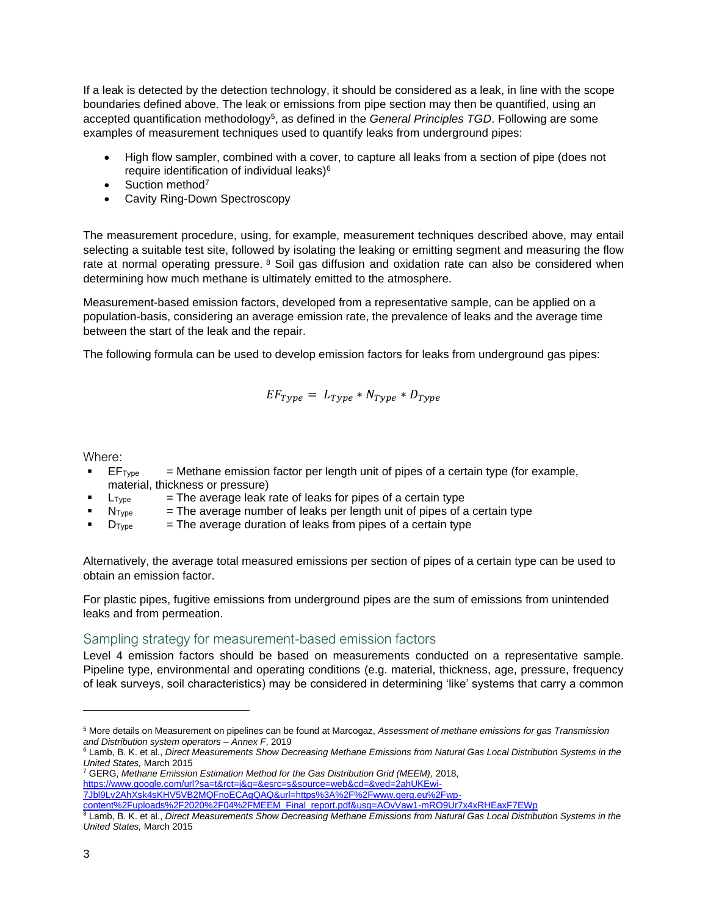If a leak is detected by the detection technology, it should be considered as a leak, in line with the scope boundaries defined above. The leak or emissions from pipe section may then be quantified, using an accepted quantification methodology<sup>5</sup>, as defined in the *General Principles TGD*. Following are some examples of measurement techniques used to quantify leaks from underground pipes:

- High flow sampler, combined with a cover, to capture all leaks from a section of pipe (does not require identification of individual leaks)<sup>6</sup>
- Suction method<sup>7</sup>
- Cavity Ring-Down Spectroscopy

The measurement procedure, using, for example, measurement techniques described above, may entail selecting a suitable test site, followed by isolating the leaking or emitting segment and measuring the flow rate at normal operating pressure. <sup>8</sup> Soil gas diffusion and oxidation rate can also be considered when determining how much methane is ultimately emitted to the atmosphere.

Measurement-based emission factors, developed from a representative sample, can be applied on a population-basis, considering an average emission rate, the prevalence of leaks and the average time between the start of the leak and the repair.

The following formula can be used to develop emission factors for leaks from underground gas pipes:

$$
EF_{Type} = L_{Type} * N_{Type} * D_{Type}
$$

Where:

- **•** EF<sub>Type</sub>  $=$  Methane emission factor per length unit of pipes of a certain type (for example, material, thickness or pressure)
- $L_{Type}$  = The average leak rate of leaks for pipes of a certain type
- $N<sub>Type</sub>$  = The average number of leaks per length unit of pipes of a certain type
- $\blacksquare$  D<sub>Type</sub>  $\blacksquare$  = The average duration of leaks from pipes of a certain type

Alternatively, the average total measured emissions per section of pipes of a certain type can be used to obtain an emission factor.

For plastic pipes, fugitive emissions from underground pipes are the sum of emissions from unintended leaks and from permeation.

#### Sampling strategy for measurement-based emission factors

Level 4 emission factors should be based on measurements conducted on a representative sample. Pipeline type, environmental and operating conditions (e.g. material, thickness, age, pressure, frequency of leak surveys, soil characteristics) may be considered in determining 'like' systems that carry a common

<sup>5</sup> More details on Measurement on pipelines can be found at Marcogaz, *Assessment of methane emissions for gas Transmission and Distribution system operators – Annex F*, 2019

<sup>6</sup> Lamb, B. K. et al., *Direct Measurements Show Decreasing Methane Emissions from Natural Gas Local Distribution Systems in the United States,* March 2015

<sup>7</sup> GERG, *Methane Emission Estimation Method for the Gas Distribution Grid (MEEM),* 2018, [https://www.google.com/url?sa=t&rct=j&q=&esrc=s&source=web&cd=&ved=2ahUKEwi-](https://www.google.com/url?sa=t&rct=j&q=&esrc=s&source=web&cd=&ved=2ahUKEwi-7Jbl9Lv2AhXsk4sKHV5VB2MQFnoECAgQAQ&url=https%3A%2F%2Fwww.gerg.eu%2Fwp-content%2Fuploads%2F2020%2F04%2FMEEM_Final_report.pdf&usg=AOvVaw1-mRO9Ur7x4xRHEaxF7EWp)[7Jbl9Lv2AhXsk4sKHV5VB2MQFnoECAgQAQ&url=https%3A%2F%2Fwww.gerg.eu%2Fwp-](https://www.google.com/url?sa=t&rct=j&q=&esrc=s&source=web&cd=&ved=2ahUKEwi-7Jbl9Lv2AhXsk4sKHV5VB2MQFnoECAgQAQ&url=https%3A%2F%2Fwww.gerg.eu%2Fwp-content%2Fuploads%2F2020%2F04%2FMEEM_Final_report.pdf&usg=AOvVaw1-mRO9Ur7x4xRHEaxF7EWp)

[content%2Fuploads%2F2020%2F04%2FMEEM\\_Final\\_report.pdf&usg=AOvVaw1-mRO9Ur7x4xRHEaxF7EWp](https://www.google.com/url?sa=t&rct=j&q=&esrc=s&source=web&cd=&ved=2ahUKEwi-7Jbl9Lv2AhXsk4sKHV5VB2MQFnoECAgQAQ&url=https%3A%2F%2Fwww.gerg.eu%2Fwp-content%2Fuploads%2F2020%2F04%2FMEEM_Final_report.pdf&usg=AOvVaw1-mRO9Ur7x4xRHEaxF7EWp)

<sup>8</sup> Lamb, B. K. et al., *Direct Measurements Show Decreasing Methane Emissions from Natural Gas Local Distribution Systems in the United States,* March 2015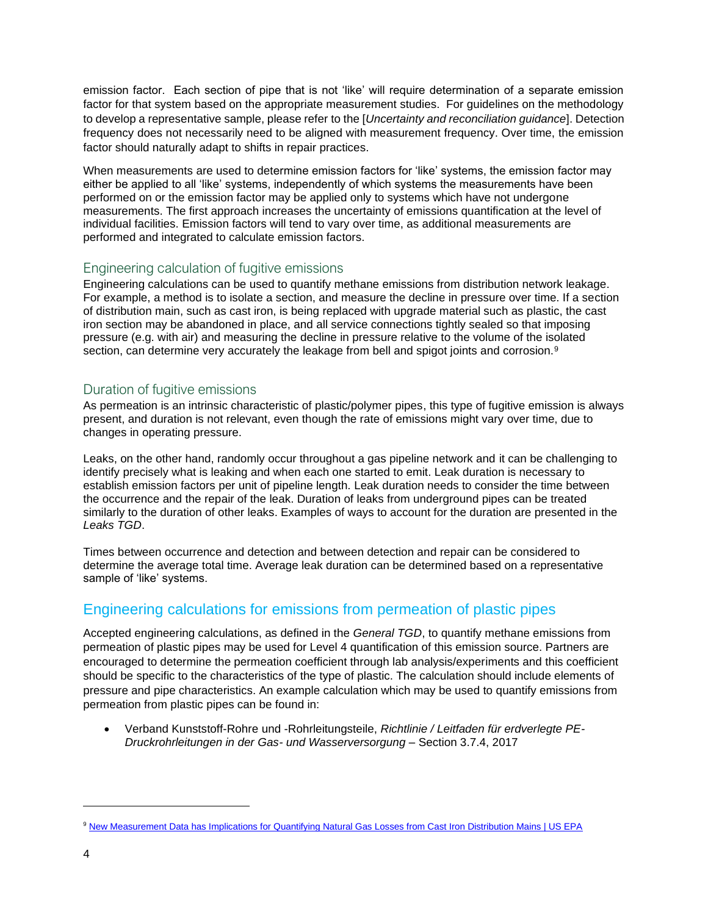emission factor. Each section of pipe that is not 'like' will require determination of a separate emission factor for that system based on the appropriate measurement studies. For guidelines on the methodology to develop a representative sample, please refer to the [*Uncertainty and reconciliation guidance*]. Detection frequency does not necessarily need to be aligned with measurement frequency. Over time, the emission factor should naturally adapt to shifts in repair practices.

When measurements are used to determine emission factors for 'like' systems, the emission factor may either be applied to all 'like' systems, independently of which systems the measurements have been performed on or the emission factor may be applied only to systems which have not undergone measurements. The first approach increases the uncertainty of emissions quantification at the level of individual facilities. Emission factors will tend to vary over time, as additional measurements are performed and integrated to calculate emission factors.

#### Engineering calculation of fugitive emissions

Engineering calculations can be used to quantify methane emissions from distribution network leakage. For example, a method is to isolate a section, and measure the decline in pressure over time. If a section of distribution main, such as cast iron, is being replaced with upgrade material such as plastic, the cast iron section may be abandoned in place, and all service connections tightly sealed so that imposing pressure (e.g. with air) and measuring the decline in pressure relative to the volume of the isolated section, can determine very accurately the leakage from bell and spigot joints and corrosion.<sup>9</sup>

### Duration of fugitive emissions

As permeation is an intrinsic characteristic of plastic/polymer pipes, this type of fugitive emission is always present, and duration is not relevant, even though the rate of emissions might vary over time, due to changes in operating pressure.

Leaks, on the other hand, randomly occur throughout a gas pipeline network and it can be challenging to identify precisely what is leaking and when each one started to emit. Leak duration is necessary to establish emission factors per unit of pipeline length. Leak duration needs to consider the time between the occurrence and the repair of the leak. Duration of leaks from underground pipes can be treated similarly to the duration of other leaks. Examples of ways to account for the duration are presented in the *Leaks TGD*.

Times between occurrence and detection and between detection and repair can be considered to determine the average total time. Average leak duration can be determined based on a representative sample of 'like' systems.

### Engineering calculations for emissions from permeation of plastic pipes

Accepted engineering calculations, as defined in the *General TGD*, to quantify methane emissions from permeation of plastic pipes may be used for Level 4 quantification of this emission source. Partners are encouraged to determine the permeation coefficient through lab analysis/experiments and this coefficient should be specific to the characteristics of the type of plastic. The calculation should include elements of pressure and pipe characteristics. An example calculation which may be used to quantify emissions from permeation from plastic pipes can be found in:

• Verband Kunststoff-Rohre und -Rohrleitungsteile, *Richtlinie / Leitfaden für erdverlegte PE-Druckrohrleitungen in der Gas- und Wasserversorgung* – Section 3.7.4, 2017

<sup>9</sup> [New Measurement Data has Implications for Quantifying Natural Gas Losses from Cast Iron Distribution Mains | US EPA](https://www.epa.gov/natural-gas-star-program/new-measurement-data-has-implications-quantifying-natural-gas-losses-cast)